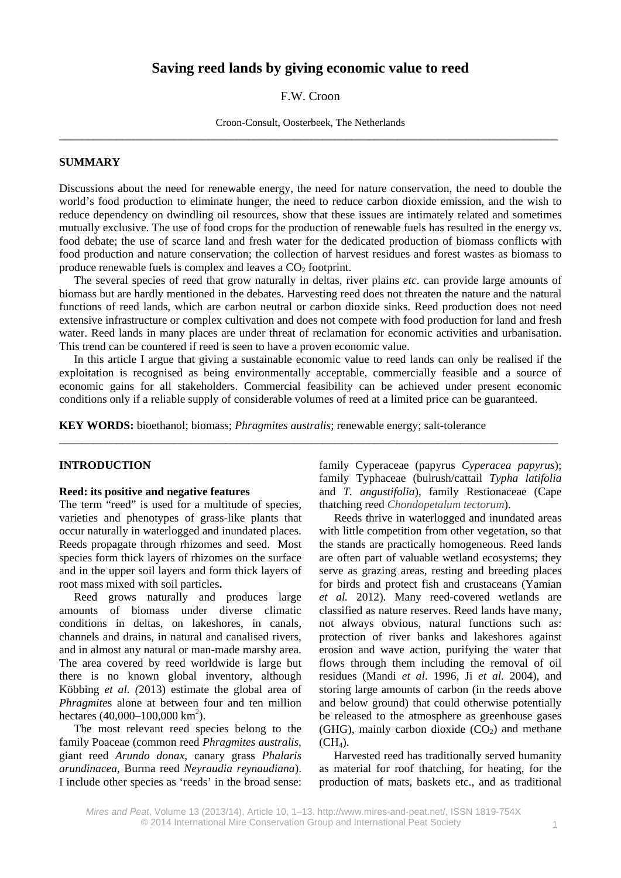# **Saving reed lands by giving economic value to reed**

#### F.W. Croon

Croon-Consult, Oosterbeek, The Netherlands \_\_\_\_\_\_\_\_\_\_\_\_\_\_\_\_\_\_\_\_\_\_\_\_\_\_\_\_\_\_\_\_\_\_\_\_\_\_\_\_\_\_\_\_\_\_\_\_\_\_\_\_\_\_\_\_\_\_\_\_\_\_\_\_\_\_\_\_\_\_\_\_\_\_\_\_\_\_\_\_\_\_\_\_\_\_\_

#### **SUMMARY**

Discussions about the need for renewable energy, the need for nature conservation, the need to double the world's food production to eliminate hunger, the need to reduce carbon dioxide emission, and the wish to reduce dependency on dwindling oil resources, show that these issues are intimately related and sometimes mutually exclusive. The use of food crops for the production of renewable fuels has resulted in the energy *vs*. food debate; the use of scarce land and fresh water for the dedicated production of biomass conflicts with food production and nature conservation; the collection of harvest residues and forest wastes as biomass to produce renewable fuels is complex and leaves a  $CO<sub>2</sub>$  footprint.

The several species of reed that grow naturally in deltas, river plains *etc*. can provide large amounts of biomass but are hardly mentioned in the debates. Harvesting reed does not threaten the nature and the natural functions of reed lands, which are carbon neutral or carbon dioxide sinks. Reed production does not need extensive infrastructure or complex cultivation and does not compete with food production for land and fresh water. Reed lands in many places are under threat of reclamation for economic activities and urbanisation. This trend can be countered if reed is seen to have a proven economic value.

In this article I argue that giving a sustainable economic value to reed lands can only be realised if the exploitation is recognised as being environmentally acceptable, commercially feasible and a source of economic gains for all stakeholders. Commercial feasibility can be achieved under present economic conditions only if a reliable supply of considerable volumes of reed at a limited price can be guaranteed.

\_\_\_\_\_\_\_\_\_\_\_\_\_\_\_\_\_\_\_\_\_\_\_\_\_\_\_\_\_\_\_\_\_\_\_\_\_\_\_\_\_\_\_\_\_\_\_\_\_\_\_\_\_\_\_\_\_\_\_\_\_\_\_\_\_\_\_\_\_\_\_\_\_\_\_\_\_\_\_\_\_\_\_\_\_\_\_

**KEY WORDS:** bioethanol; biomass; *Phragmites australis*; renewable energy; salt-tolerance

#### **INTRODUCTION**

#### **Reed: its positive and negative features**

The term "reed" is used for a multitude of species, varieties and phenotypes of grass-like plants that occur naturally in waterlogged and inundated places. Reeds propagate through rhizomes and seed. Most species form thick layers of rhizomes on the surface and in the upper soil layers and form thick layers of root mass mixed with soil particles**.**

Reed grows naturally and produces large amounts of biomass under diverse climatic conditions in deltas, on lakeshores, in canals, channels and drains, in natural and canalised rivers, and in almost any natural or man-made marshy area. The area covered by reed worldwide is large but there is no known global inventory, although Köbbing *et al. (*2013) estimate the global area of *Phragmite*s alone at between four and ten million hectares  $(40,000-100,000 \text{ km}^2)$ .

The most relevant reed species belong to the family Poaceae (common reed *Phragmites australis*, giant reed *Arundo donax*, canary grass *Phalaris arundinacea*, Burma reed *Neyraudia reynaudiana*). I include other species as 'reeds' in the broad sense:

family Cyperaceae (papyrus *Cyperacea papyrus*); family Typhaceae (bulrush/cattail *Typha latifolia* and *T. angustifolia*), family Restionaceae (Cape thatching reed *Chondopetalum tectorum*).

Reeds thrive in waterlogged and inundated areas with little competition from other vegetation, so that the stands are practically homogeneous. Reed lands are often part of valuable wetland ecosystems; they serve as grazing areas, resting and breeding places for birds and protect fish and crustaceans (Yamian *et al.* 2012). Many reed-covered wetlands are classified as nature reserves. Reed lands have many, not always obvious, natural functions such as: protection of river banks and lakeshores against erosion and wave action, purifying the water that flows through them including the removal of oil residues (Mandi *et al*. 1996, Ji *et al.* 2004), and storing large amounts of carbon (in the reeds above and below ground) that could otherwise potentially be released to the atmosphere as greenhouse gases (GHG), mainly carbon dioxide  $(CO<sub>2</sub>)$  and methane  $(CH<sub>4</sub>).$ 

Harvested reed has traditionally served humanity as material for roof thatching, for heating, for the production of mats, baskets etc., and as traditional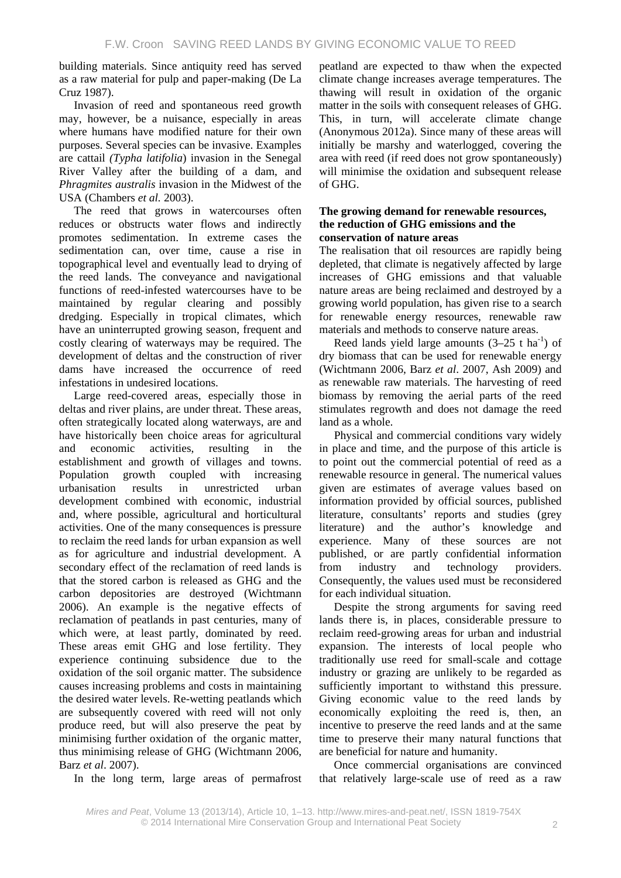building materials. Since antiquity reed has served as a raw material for pulp and paper-making (De La Cruz 1987).

Invasion of reed and spontaneous reed growth may, however, be a nuisance, especially in areas where humans have modified nature for their own purposes. Several species can be invasive. Examples are cattail *(Typha latifolia*) invasion in the Senegal River Valley after the building of a dam, and *Phragmites australis* invasion in the Midwest of the USA (Chambers *et al.* 2003).

The reed that grows in watercourses often reduces or obstructs water flows and indirectly promotes sedimentation. In extreme cases the sedimentation can, over time, cause a rise in topographical level and eventually lead to drying of the reed lands. The conveyance and navigational functions of reed-infested watercourses have to be maintained by regular clearing and possibly dredging. Especially in tropical climates, which have an uninterrupted growing season, frequent and costly clearing of waterways may be required. The development of deltas and the construction of river dams have increased the occurrence of reed infestations in undesired locations.

Large reed-covered areas, especially those in deltas and river plains, are under threat. These areas, often strategically located along waterways, are and have historically been choice areas for agricultural and economic activities, resulting in the establishment and growth of villages and towns. Population growth coupled with increasing urbanisation results in unrestricted urban development combined with economic, industrial and, where possible, agricultural and horticultural activities. One of the many consequences is pressure to reclaim the reed lands for urban expansion as well as for agriculture and industrial development. A secondary effect of the reclamation of reed lands is that the stored carbon is released as GHG and the carbon depositories are destroyed (Wichtmann 2006). An example is the negative effects of reclamation of peatlands in past centuries, many of which were, at least partly, dominated by reed. These areas emit GHG and lose fertility. They experience continuing subsidence due to the oxidation of the soil organic matter. The subsidence causes increasing problems and costs in maintaining the desired water levels. Re-wetting peatlands which are subsequently covered with reed will not only produce reed, but will also preserve the peat by minimising further oxidation of the organic matter, thus minimising release of GHG (Wichtmann 2006, Barz *et al*. 2007).

In the long term, large areas of permafrost

peatland are expected to thaw when the expected climate change increases average temperatures. The thawing will result in oxidation of the organic matter in the soils with consequent releases of GHG. This, in turn, will accelerate climate change (Anonymous 2012a). Since many of these areas will initially be marshy and waterlogged, covering the area with reed (if reed does not grow spontaneously) will minimise the oxidation and subsequent release of GHG.

#### **The growing demand for renewable resources, the reduction of GHG emissions and the conservation of nature areas**

The realisation that oil resources are rapidly being depleted, that climate is negatively affected by large increases of GHG emissions and that valuable nature areas are being reclaimed and destroyed by a growing world population, has given rise to a search for renewable energy resources, renewable raw materials and methods to conserve nature areas.

Reed lands yield large amounts  $(3-25$  t ha<sup>-1</sup>) of dry biomass that can be used for renewable energy (Wichtmann 2006, Barz *et al*. 2007, Ash 2009) and as renewable raw materials. The harvesting of reed biomass by removing the aerial parts of the reed stimulates regrowth and does not damage the reed land as a whole.

Physical and commercial conditions vary widely in place and time, and the purpose of this article is to point out the commercial potential of reed as a renewable resource in general. The numerical values given are estimates of average values based on information provided by official sources, published literature, consultants' reports and studies (grey literature) and the author's knowledge and experience. Many of these sources are not published, or are partly confidential information from industry and technology providers. Consequently, the values used must be reconsidered for each individual situation.

Despite the strong arguments for saving reed lands there is, in places, considerable pressure to reclaim reed-growing areas for urban and industrial expansion. The interests of local people who traditionally use reed for small-scale and cottage industry or grazing are unlikely to be regarded as sufficiently important to withstand this pressure. Giving economic value to the reed lands by economically exploiting the reed is, then, an incentive to preserve the reed lands and at the same time to preserve their many natural functions that are beneficial for nature and humanity.

Once commercial organisations are convinced that relatively large-scale use of reed as a raw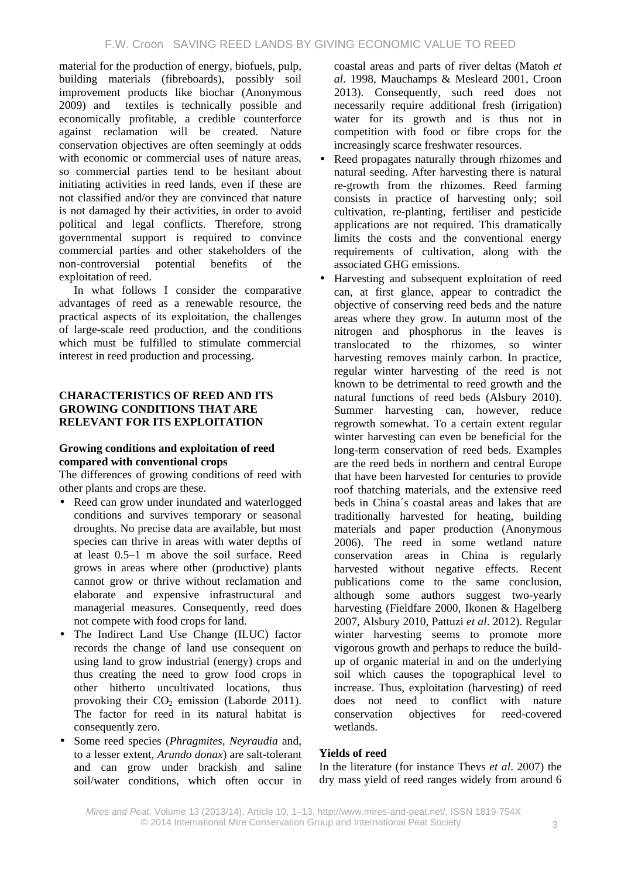material for the production of energy, biofuels, pulp, building materials (fibreboards), possibly soil improvement products like biochar (Anonymous 2009) and textiles is technically possible and economically profitable, a credible counterforce against reclamation will be created. Nature conservation objectives are often seemingly at odds with economic or commercial uses of nature areas. so commercial parties tend to be hesitant about initiating activities in reed lands, even if these are not classified and/or they are convinced that nature is not damaged by their activities, in order to avoid political and legal conflicts. Therefore, strong governmental support is required to convince commercial parties and other stakeholders of the non-controversial potential benefits of the exploitation of reed.

In what follows I consider the comparative advantages of reed as a renewable resource, the practical aspects of its exploitation, the challenges of large-scale reed production, and the conditions which must be fulfilled to stimulate commercial interest in reed production and processing.

# **CHARACTERISTICS OF REED AND ITS GROWING CONDITIONS THAT ARE RELEVANT FOR ITS EXPLOITATION**

## **Growing conditions and exploitation of reed compared with conventional crops**

The differences of growing conditions of reed with other plants and crops are these.

- Reed can grow under inundated and waterlogged conditions and survives temporary or seasonal droughts. No precise data are available, but most species can thrive in areas with water depths of at least 0.5–1 m above the soil surface. Reed grows in areas where other (productive) plants cannot grow or thrive without reclamation and elaborate and expensive infrastructural and managerial measures. Consequently, reed does not compete with food crops for land.
- The Indirect Land Use Change (ILUC) factor records the change of land use consequent on using land to grow industrial (energy) crops and thus creating the need to grow food crops in other hitherto uncultivated locations, thus provoking their  $CO<sub>2</sub>$  emission (Laborde 2011). The factor for reed in its natural habitat is consequently zero.
- Some reed species (*Phragmites, Neyraudia* and, to a lesser extent, *Arundo donax*) are salt-tolerant and can grow under brackish and saline soil/water conditions, which often occur in

coastal areas and parts of river deltas (Matoh *et al*. 1998, Mauchamps & Mesleard 2001, Croon 2013). Consequently, such reed does not necessarily require additional fresh (irrigation) water for its growth and is thus not in competition with food or fibre crops for the increasingly scarce freshwater resources.

- Reed propagates naturally through rhizomes and  $\ddot{\phantom{a}}$ natural seeding. After harvesting there is natural re-growth from the rhizomes. Reed farming consists in practice of harvesting only; soil cultivation, re-planting, fertiliser and pesticide applications are not required. This dramatically limits the costs and the conventional energy requirements of cultivation, along with the associated GHG emissions.
- Harvesting and subsequent exploitation of reed can, at first glance, appear to contradict the objective of conserving reed beds and the nature areas where they grow. In autumn most of the nitrogen and phosphorus in the leaves is translocated to the rhizomes, so winter harvesting removes mainly carbon. In practice, regular winter harvesting of the reed is not known to be detrimental to reed growth and the natural functions of reed beds (Alsbury 2010). Summer harvesting can, however, reduce regrowth somewhat. To a certain extent regular winter harvesting can even be beneficial for the long-term conservation of reed beds. Examples are the reed beds in northern and central Europe that have been harvested for centuries to provide roof thatching materials, and the extensive reed beds in China´s coastal areas and lakes that are traditionally harvested for heating, building materials and paper production (Anonymous 2006). The reed in some wetland nature conservation areas in China is regularly harvested without negative effects. Recent publications come to the same conclusion, although some authors suggest two-yearly harvesting (Fieldfare 2000, Ikonen & Hagelberg 2007, Alsbury 2010, Pattuzi *et al*. 2012). Regular winter harvesting seems to promote more vigorous growth and perhaps to reduce the buildup of organic material in and on the underlying soil which causes the topographical level to increase. Thus, exploitation (harvesting) of reed does not need to conflict with nature conservation objectives for reed-covered wetlands.

# **Yields of reed**

In the literature (for instance Thevs *et al*. 2007) the dry mass yield of reed ranges widely from around 6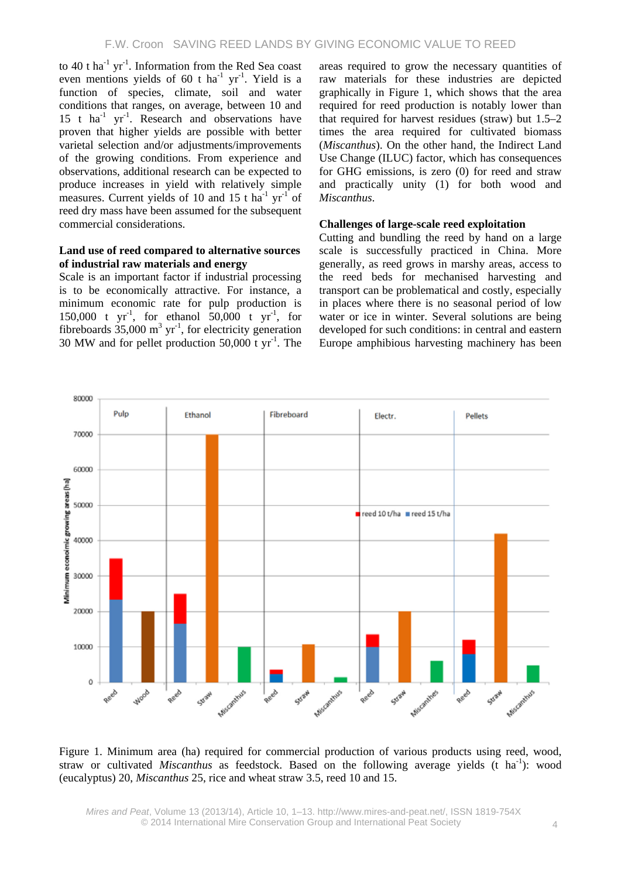to 40 t ha<sup>-1</sup> yr<sup>-1</sup>. Information from the Red Sea coast even mentions yields of 60 t ha<sup>-1</sup> yr<sup>-1</sup>. Yield is a function of species, climate, soil and water conditions that ranges, on average, between 10 and  $15$  t ha<sup>-1</sup> yr<sup>-1</sup>. Research and observations have proven that higher yields are possible with better varietal selection and/or adjustments/improvements of the growing conditions. From experience and observations, additional research can be expected to produce increases in yield with relatively simple measures. Current yields of 10 and 15 t ha<sup>-1</sup> yr<sup>-1</sup> of reed dry mass have been assumed for the subsequent commercial considerations.

#### **Land use of reed compared to alternative sources of industrial raw materials and energy**

Scale is an important factor if industrial processing is to be economically attractive. For instance, a minimum economic rate for pulp production is 150,000 t  $yr^{-1}$ , for ethanol 50,000 t  $yr^{-1}$ , for fibreboards  $35,000 \text{ m}^3 \text{ yr}^1$ , for electricity generation 30 MW and for pellet production  $50,000$  t yr<sup>-1</sup>. The areas required to grow the necessary quantities of raw materials for these industries are depicted graphically in Figure 1, which shows that the area required for reed production is notably lower than that required for harvest residues (straw) but 1.5–2 times the area required for cultivated biomass (*Miscanthus*). On the other hand, the Indirect Land Use Change (ILUC) factor, which has consequences for GHG emissions, is zero (0) for reed and straw and practically unity (1) for both wood and *Miscanthus*.

## **Challenges of large-scale reed exploitation**

Cutting and bundling the reed by hand on a large scale is successfully practiced in China. More generally, as reed grows in marshy areas, access to the reed beds for mechanised harvesting and transport can be problematical and costly, especially in places where there is no seasonal period of low water or ice in winter. Several solutions are being developed for such conditions: in central and eastern Europe amphibious harvesting machinery has been



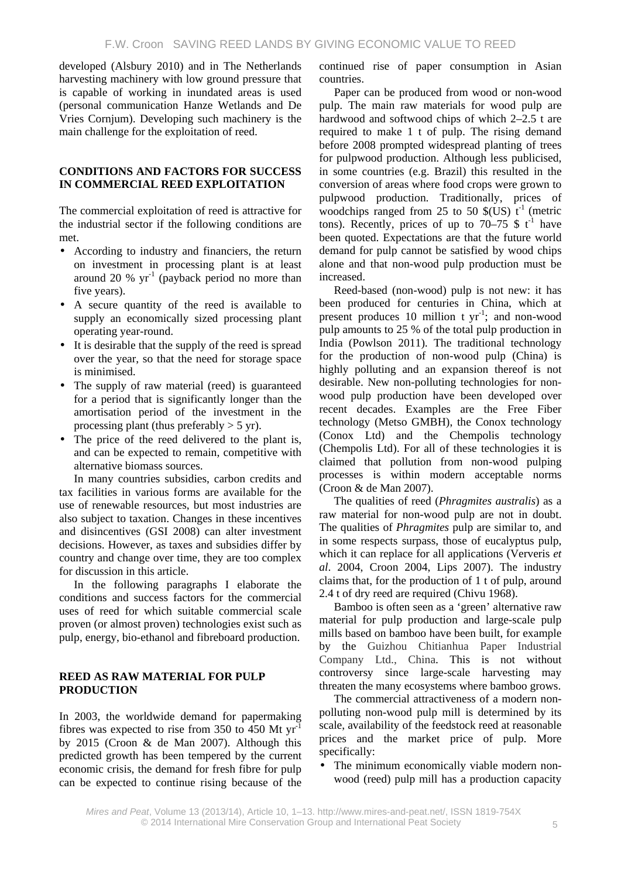developed (Alsbury 2010) and in The Netherlands harvesting machinery with low ground pressure that is capable of working in inundated areas is used (personal communication Hanze Wetlands and De Vries Cornjum). Developing such machinery is the main challenge for the exploitation of reed.

### **CONDITIONS AND FACTORS FOR SUCCESS IN COMMERCIAL REED EXPLOITATION**

The commercial exploitation of reed is attractive for the industrial sector if the following conditions are met.

- According to industry and financiers, the return  $\mathcal{L}^{\pm}$ on investment in processing plant is at least around 20 %  $yr^{-1}$  (payback period no more than five years).
- A secure quantity of the reed is available to supply an economically sized processing plant operating year-round.
- It is desirable that the supply of the reed is spread over the year, so that the need for storage space is minimised.
- The supply of raw material (reed) is guaranteed for a period that is significantly longer than the amortisation period of the investment in the processing plant (thus preferably  $>$  5 yr).
- The price of the reed delivered to the plant is, and can be expected to remain, competitive with alternative biomass sources.

In many countries subsidies, carbon credits and tax facilities in various forms are available for the use of renewable resources, but most industries are also subject to taxation. Changes in these incentives and disincentives (GSI 2008) can alter investment decisions. However, as taxes and subsidies differ by country and change over time, they are too complex for discussion in this article.

In the following paragraphs I elaborate the conditions and success factors for the commercial uses of reed for which suitable commercial scale proven (or almost proven) technologies exist such as pulp, energy, bio-ethanol and fibreboard production.

### **REED AS RAW MATERIAL FOR PULP PRODUCTION**

In 2003, the worldwide demand for papermaking fibres was expected to rise from 350 to 450 Mt yr-1 by 2015 (Croon & de Man 2007). Although this predicted growth has been tempered by the current economic crisis, the demand for fresh fibre for pulp can be expected to continue rising because of the continued rise of paper consumption in Asian countries.

Paper can be produced from wood or non-wood pulp. The main raw materials for wood pulp are hardwood and softwood chips of which 2–2.5 t are required to make 1 t of pulp. The rising demand before 2008 prompted widespread planting of trees for pulpwood production. Although less publicised, in some countries (e.g. Brazil) this resulted in the conversion of areas where food crops were grown to pulpwood production. Traditionally, prices of woodchips ranged from 25 to 50  $\{(US) t^{-1}$  (metric tons). Recently, prices of up to 70–75  $\frac{1}{2}$  t<sup>-1</sup> have been quoted. Expectations are that the future world demand for pulp cannot be satisfied by wood chips alone and that non-wood pulp production must be increased.

Reed-based (non-wood) pulp is not new: it has been produced for centuries in China, which at present produces  $10$  million t yr<sup>-1</sup>; and non-wood pulp amounts to 25 % of the total pulp production in India (Powlson 2011). The traditional technology for the production of non-wood pulp (China) is highly polluting and an expansion thereof is not desirable. New non-polluting technologies for nonwood pulp production have been developed over recent decades. Examples are the Free Fiber technology (Metso GMBH), the Conox technology (Conox Ltd) and the Chempolis technology (Chempolis Ltd). For all of these technologies it is claimed that pollution from non-wood pulping processes is within modern acceptable norms (Croon & de Man 2007).

The qualities of reed (*Phragmites australis*) as a raw material for non-wood pulp are not in doubt. The qualities of *Phragmites* pulp are similar to, and in some respects surpass, those of eucalyptus pulp, which it can replace for all applications (Ververis *et al*. 2004, Croon 2004, Lips 2007). The industry claims that, for the production of 1 t of pulp, around 2.4 t of dry reed are required (Chivu 1968).

Bamboo is often seen as a 'green' alternative raw material for pulp production and large-scale pulp mills based on bamboo have been built, for example by the Guizhou Chitianhua Paper Industrial Company Ltd., China. This is not without controversy since large-scale harvesting may threaten the many ecosystems where bamboo grows.

The commercial attractiveness of a modern nonpolluting non-wood pulp mill is determined by its scale, availability of the feedstock reed at reasonable prices and the market price of pulp. More specifically:

The minimum economically viable modern nonwood (reed) pulp mill has a production capacity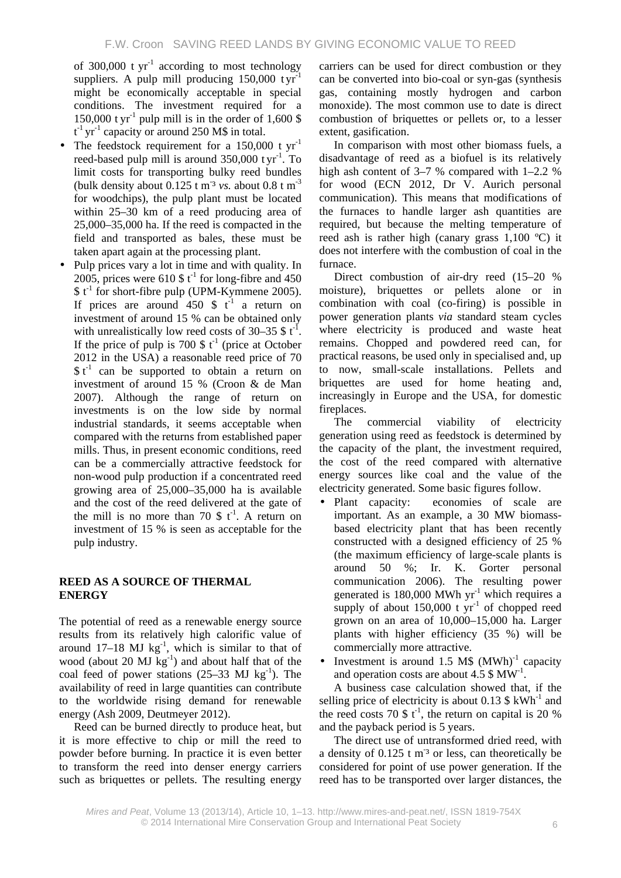of 300,000 t  $yr^{-1}$  according to most technology suppliers. A pulp mill producing  $150,000$  tyr<sup>-1</sup> might be economically acceptable in special conditions. The investment required for a 150,000 t yr<sup>-1</sup> pulp mill is in the order of 1,600 \$  $t^{-1}$  yr<sup>-1</sup> capacity or around 250 M\$ in total.

- The feedstock requirement for a  $150,000$  t  $\text{vr}^{-1}$ reed-based pulp mill is around  $350,000$  tyr<sup>-1</sup>. To limit costs for transporting bulky reed bundles (bulk density about  $0.125$  t m<sup>-3</sup> *vs.* about  $0.8$  t m<sup>-3</sup> for woodchips), the pulp plant must be located within 25–30 km of a reed producing area of 25,000–35,000 ha. If the reed is compacted in the field and transported as bales, these must be taken apart again at the processing plant.
- Pulp prices vary a lot in time and with quality. In 2005, prices were 610  $\frac{1}{2}$  to long-fibre and 450  $$t<sup>-1</sup>$  for short-fibre pulp (UPM-Kymmene 2005). If prices are around  $450 \text{ }$  \$ t<sup>-1</sup> a return on investment of around 15 % can be obtained only with unrealistically low reed costs of  $30-35$  \$ t<sup>-1</sup>. If the price of pulp is 700  $\frac{1}{2}$  t<sup>-1</sup> (price at October 2012 in the USA) a reasonable reed price of 70  $$t<sup>-1</sup>$  can be supported to obtain a return on investment of around 15 % (Croon & de Man 2007). Although the range of return on investments is on the low side by normal industrial standards, it seems acceptable when compared with the returns from established paper mills. Thus, in present economic conditions, reed can be a commercially attractive feedstock for non-wood pulp production if a concentrated reed growing area of 25,000–35,000 ha is available and the cost of the reed delivered at the gate of the mill is no more than 70  $\frac{1}{2}$  t<sup>-1</sup>. A return on investment of 15 % is seen as acceptable for the pulp industry.

## **REED AS A SOURCE OF THERMAL ENERGY**

The potential of reed as a renewable energy source results from its relatively high calorific value of around  $17-18$  MJ kg<sup>-1</sup>, which is similar to that of wood (about 20  $MJ$  kg<sup>-1</sup>) and about half that of the coal feed of power stations  $(25-33 \text{ MJ kg}^{-1})$ . The availability of reed in large quantities can contribute to the worldwide rising demand for renewable energy (Ash 2009, Deutmeyer 2012).

Reed can be burned directly to produce heat, but it is more effective to chip or mill the reed to powder before burning. In practice it is even better to transform the reed into denser energy carriers such as briquettes or pellets. The resulting energy

carriers can be used for direct combustion or they can be converted into bio-coal or syn-gas (synthesis gas, containing mostly hydrogen and carbon monoxide). The most common use to date is direct combustion of briquettes or pellets or, to a lesser extent, gasification.

In comparison with most other biomass fuels, a disadvantage of reed as a biofuel is its relatively high ash content of 3–7 % compared with 1–2.2 % for wood (ECN 2012, Dr V. Aurich personal communication). This means that modifications of the furnaces to handle larger ash quantities are required, but because the melting temperature of reed ash is rather high (canary grass 1,100 ºC) it does not interfere with the combustion of coal in the furnace.

Direct combustion of air-dry reed (15–20 % moisture), briquettes or pellets alone or in combination with coal (co-firing) is possible in power generation plants *via* standard steam cycles where electricity is produced and waste heat remains. Chopped and powdered reed can, for practical reasons, be used only in specialised and, up to now, small-scale installations. Pellets and briquettes are used for home heating and, increasingly in Europe and the USA, for domestic fireplaces.

The commercial viability of electricity generation using reed as feedstock is determined by the capacity of the plant, the investment required, the cost of the reed compared with alternative energy sources like coal and the value of the electricity generated. Some basic figures follow.

- Plant capacity: economies of scale are important. As an example, a 30 MW biomassbased electricity plant that has been recently constructed with a designed efficiency of 25 % (the maximum efficiency of large-scale plants is around 50 %; Ir. K. Gorter personal communication 2006). The resulting power generated is 180,000 MWh  $yr^{-1}$  which requires a supply of about  $150,000$  t yr<sup>-1</sup> of chopped reed grown on an area of 10,000–15,000 ha. Larger plants with higher efficiency (35 %) will be commercially more attractive.
- Investment is around  $1.5$  M\$  $(MWh)^{-1}$  capacity  $\mathbf{r}^{\prime}$ and operation costs are about 4.5  $\text{\textcircled{s} MW}^{-1}$ .

A business case calculation showed that, if the selling price of electricity is about 0.13  $\frac{1}{2}$  kWh<sup>-1</sup> and the reed costs 70  $\frac{1}{3}$  t<sup>-1</sup>, the return on capital is 20 % and the payback period is 5 years.

The direct use of untransformed dried reed, with a density of  $0.125$  t m<sup>-3</sup> or less, can theoretically be considered for point of use power generation. If the reed has to be transported over larger distances, the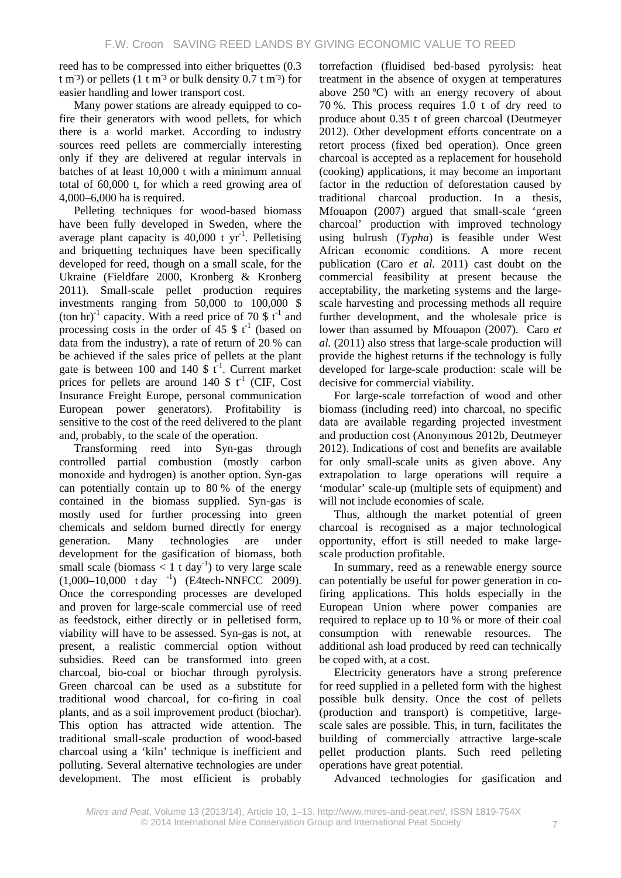reed has to be compressed into either briquettes (0.3 t m<sup>-3</sup>) or pellets (1 t m<sup>-3</sup> or bulk density  $0.7 \text{ t m}^{-3}$ ) for easier handling and lower transport cost.

Many power stations are already equipped to cofire their generators with wood pellets, for which there is a world market. According to industry sources reed pellets are commercially interesting only if they are delivered at regular intervals in batches of at least 10,000 t with a minimum annual total of 60,000 t, for which a reed growing area of 4,000–6,000 ha is required.

Pelleting techniques for wood-based biomass have been fully developed in Sweden, where the average plant capacity is  $40,000$  t yr<sup>-1</sup>. Pelletising and briquetting techniques have been specifically developed for reed, though on a small scale, for the Ukraine (Fieldfare 2000, Kronberg & Kronberg 2011). Small-scale pellet production requires investments ranging from 50,000 to 100,000 \$ (ton hr)<sup>-1</sup> capacity. With a reed price of 70  $\frac{1}{3}$  t<sup>-1</sup> and processing costs in the order of 45  $\frac{1}{2}$  (based on data from the industry), a rate of return of 20 % can be achieved if the sales price of pellets at the plant gate is between 100 and 140 \$  $t^{-1}$ . Current market prices for pellets are around 140  $\frac{1}{2}$  t<sup>-1</sup> (CIF, Cost Insurance Freight Europe, personal communication European power generators). Profitability is sensitive to the cost of the reed delivered to the plant and, probably, to the scale of the operation.

Transforming reed into Syn-gas through controlled partial combustion (mostly carbon monoxide and hydrogen) is another option. Syn-gas can potentially contain up to 80 % of the energy contained in the biomass supplied. Syn-gas is mostly used for further processing into green chemicals and seldom burned directly for energy generation. Many technologies are under development for the gasification of biomass, both small scale (biomass  $< 1$  t day<sup>-1</sup>) to very large scale  $(1,000-10,000 \text{ t day}^{-1})$  (E4tech-NNFCC 2009). Once the corresponding processes are developed and proven for large-scale commercial use of reed as feedstock, either directly or in pelletised form, viability will have to be assessed. Syn-gas is not, at present, a realistic commercial option without subsidies. Reed can be transformed into green charcoal, bio-coal or biochar through pyrolysis. Green charcoal can be used as a substitute for traditional wood charcoal, for co-firing in coal plants, and as a soil improvement product (biochar). This option has attracted wide attention. The traditional small-scale production of wood-based charcoal using a 'kiln' technique is inefficient and polluting. Several alternative technologies are under development. The most efficient is probably

torrefaction (fluidised bed-based pyrolysis: heat treatment in the absence of oxygen at temperatures above 250 ºC) with an energy recovery of about 70 %. This process requires 1.0 t of dry reed to produce about 0.35 t of green charcoal (Deutmeyer 2012). Other development efforts concentrate on a retort process (fixed bed operation). Once green charcoal is accepted as a replacement for household (cooking) applications, it may become an important factor in the reduction of deforestation caused by traditional charcoal production. In a thesis, Mfouapon (2007) argued that small-scale 'green charcoal' production with improved technology using bulrush (*Typha*) is feasible under West African economic conditions. A more recent publication (Caro *et al.* 2011) cast doubt on the commercial feasibility at present because the acceptability, the marketing systems and the largescale harvesting and processing methods all require further development, and the wholesale price is lower than assumed by Mfouapon (2007). Caro *et al.* (2011) also stress that large-scale production will provide the highest returns if the technology is fully developed for large-scale production: scale will be decisive for commercial viability.

For large-scale torrefaction of wood and other biomass (including reed) into charcoal, no specific data are available regarding projected investment and production cost (Anonymous 2012b, Deutmeyer 2012). Indications of cost and benefits are available for only small-scale units as given above. Any extrapolation to large operations will require a 'modular' scale-up (multiple sets of equipment) and will not include economies of scale.

Thus, although the market potential of green charcoal is recognised as a major technological opportunity, effort is still needed to make largescale production profitable.

In summary, reed as a renewable energy source can potentially be useful for power generation in cofiring applications. This holds especially in the European Union where power companies are required to replace up to 10 % or more of their coal consumption with renewable resources. The additional ash load produced by reed can technically be coped with, at a cost.

Electricity generators have a strong preference for reed supplied in a pelleted form with the highest possible bulk density. Once the cost of pellets (production and transport) is competitive, largescale sales are possible. This, in turn, facilitates the building of commercially attractive large-scale pellet production plants. Such reed pelleting operations have great potential.

Advanced technologies for gasification and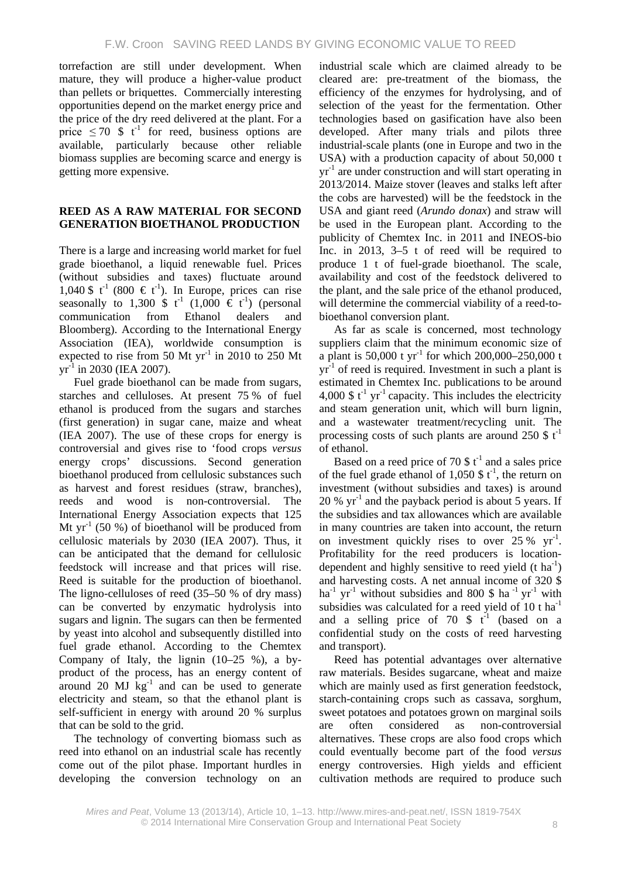torrefaction are still under development. When mature, they will produce a higher-value product than pellets or briquettes. Commercially interesting opportunities depend on the market energy price and the price of the dry reed delivered at the plant. For a price  $\leq 70$  \$ t<sup>-1</sup> for reed, business options are available, particularly because other reliable biomass supplies are becoming scarce and energy is getting more expensive.

### **REED AS A RAW MATERIAL FOR SECOND GENERATION BIOETHANOL PRODUCTION**

There is a large and increasing world market for fuel grade bioethanol, a liquid renewable fuel. Prices (without subsidies and taxes) fluctuate around 1,040 \$ t<sup>-1</sup> (800 € t<sup>-1</sup>). In Europe, prices can rise seasonally to 1,300 \$  $t^{-1}$  (1,000  $\in t^{-1}$ ) (personal communication from Ethanol dealers and Bloomberg). According to the International Energy Association (IEA), worldwide consumption is expected to rise from 50 Mt  $yr^{-1}$  in 2010 to 250 Mt  $yr^{-1}$  in 2030 (IEA 2007).

Fuel grade bioethanol can be made from sugars, starches and celluloses. At present 75 % of fuel ethanol is produced from the sugars and starches (first generation) in sugar cane, maize and wheat (IEA 2007). The use of these crops for energy is controversial and gives rise to 'food crops *versus* energy crops' discussions. Second generation bioethanol produced from cellulosic substances such as harvest and forest residues (straw, branches), reeds and wood is non-controversial. The International Energy Association expects that 125 Mt  $yr^{-1}$  (50 %) of bioethanol will be produced from cellulosic materials by 2030 (IEA 2007). Thus, it can be anticipated that the demand for cellulosic feedstock will increase and that prices will rise. Reed is suitable for the production of bioethanol. The ligno-celluloses of reed (35–50 % of dry mass) can be converted by enzymatic hydrolysis into sugars and lignin. The sugars can then be fermented by yeast into alcohol and subsequently distilled into fuel grade ethanol. According to the Chemtex Company of Italy, the lignin  $(10-25 \%)$ , a byproduct of the process, has an energy content of around 20  $MJ$   $kg^{-1}$  and can be used to generate electricity and steam, so that the ethanol plant is self-sufficient in energy with around 20 % surplus that can be sold to the grid.

The technology of converting biomass such as reed into ethanol on an industrial scale has recently come out of the pilot phase. Important hurdles in developing the conversion technology on an

industrial scale which are claimed already to be cleared are: pre-treatment of the biomass, the efficiency of the enzymes for hydrolysing, and of selection of the yeast for the fermentation. Other technologies based on gasification have also been developed. After many trials and pilots three industrial-scale plants (one in Europe and two in the USA) with a production capacity of about 50,000 t  $yr^{-1}$  are under construction and will start operating in 2013/2014. Maize stover (leaves and stalks left after the cobs are harvested) will be the feedstock in the USA and giant reed (*Arundo donax*) and straw will be used in the European plant. According to the publicity of Chemtex Inc. in 2011 and INEOS-bio Inc. in 2013, 3–5 t of reed will be required to produce 1 t of fuel-grade bioethanol. The scale, availability and cost of the feedstock delivered to the plant, and the sale price of the ethanol produced, will determine the commercial viability of a reed-tobioethanol conversion plant.

As far as scale is concerned, most technology suppliers claim that the minimum economic size of a plant is 50,000 t  $yr^{-1}$  for which 200,000–250,000 t  $yr<sup>-1</sup>$  of reed is required. Investment in such a plant is estimated in Chemtex Inc. publications to be around 4,000 \$  $t^{-1}$  yr<sup>-1</sup> capacity. This includes the electricity and steam generation unit, which will burn lignin, and a wastewater treatment/recycling unit. The processing costs of such plants are around 250  $\frac{1}{2}$  t<sup>-1</sup> of ethanol.

Based on a reed price of 70  $$t<sup>-1</sup>$  and a sales price of the fuel grade ethanol of 1,050 \$ $t^{-1}$ , the return on investment (without subsidies and taxes) is around  $20\%$  yr<sup>-1</sup> and the payback period is about 5 years. If the subsidies and tax allowances which are available in many countries are taken into account, the return on investment quickly rises to over  $25\%$  yr<sup>-1</sup>. Profitability for the reed producers is locationdependent and highly sensitive to reed yield  $(t \text{ ha}^{-1})$ and harvesting costs. A net annual income of 320 \$ ha<sup>-1</sup> yr<sup>-1</sup> without subsidies and 800 \$ ha<sup>-1</sup> yr<sup>-1</sup> with subsidies was calculated for a reed yield of 10 t  $ha^{-1}$ and a selling price of 70  $\frac{1}{2}$  t<sup>-1</sup> (based on a confidential study on the costs of reed harvesting and transport).

Reed has potential advantages over alternative raw materials. Besides sugarcane, wheat and maize which are mainly used as first generation feedstock, starch-containing crops such as cassava, sorghum, sweet potatoes and potatoes grown on marginal soils are often considered as non-controversial alternatives. These crops are also food crops which could eventually become part of the food *versus* energy controversies. High yields and efficient cultivation methods are required to produce such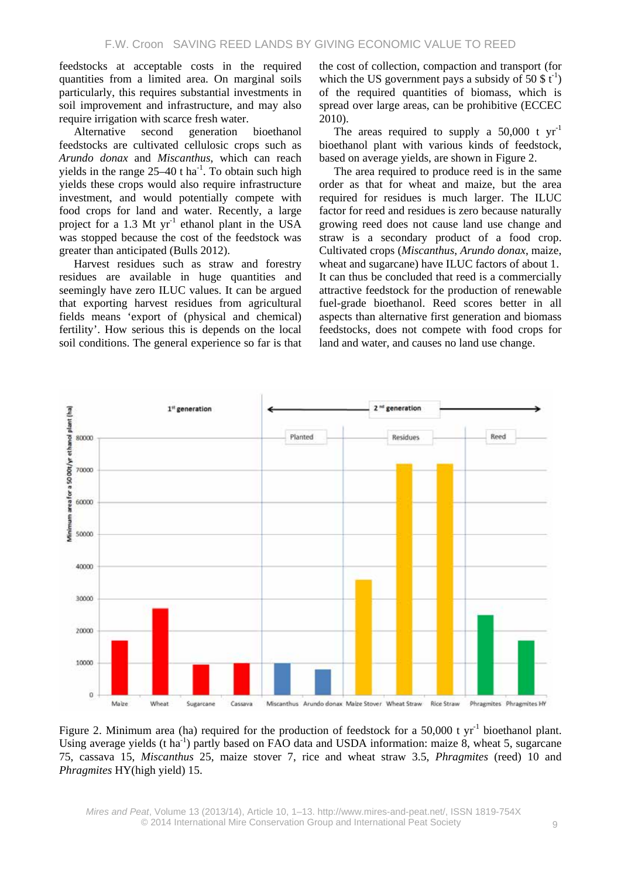feedstocks at acceptable costs in the required quantities from a limited area. On marginal soils particularly, this requires substantial investments in soil improvement and infrastructure, and may also require irrigation with scarce fresh water.

Alternative second generation bioethanol feedstocks are cultivated cellulosic crops such as *Arundo donax* and *Miscanthus*, which can reach yields in the range  $25-40$  t ha<sup>-1</sup>. To obtain such high yields these crops would also require infrastructure investment, and would potentially compete with food crops for land and water. Recently, a large project for a 1.3 Mt  $yr^{-1}$  ethanol plant in the USA was stopped because the cost of the feedstock was greater than anticipated (Bulls 2012).

Harvest residues such as straw and forestry residues are available in huge quantities and seemingly have zero ILUC values. It can be argued that exporting harvest residues from agricultural fields means 'export of (physical and chemical) fertility'. How serious this is depends on the local soil conditions. The general experience so far is that the cost of collection, compaction and transport (for which the US government pays a subsidy of 50  $\text{\$t}^{-1}$ ) of the required quantities of biomass, which is spread over large areas, can be prohibitive (ECCEC 2010).

The areas required to supply a  $50,000$  t  $yr^{-1}$ bioethanol plant with various kinds of feedstock, based on average yields, are shown in Figure 2.

The area required to produce reed is in the same order as that for wheat and maize, but the area required for residues is much larger. The ILUC factor for reed and residues is zero because naturally growing reed does not cause land use change and straw is a secondary product of a food crop. Cultivated crops (*Miscanthus*, *Arundo donax*, maize, wheat and sugarcane) have ILUC factors of about 1. It can thus be concluded that reed is a commercially attractive feedstock for the production of renewable fuel-grade bioethanol. Reed scores better in all aspects than alternative first generation and biomass feedstocks, does not compete with food crops for land and water, and causes no land use change.



Figure 2. Minimum area (ha) required for the production of feedstock for a 50,000 t  $yr^{-1}$  bioethanol plant. Using average yields (t ha<sup>-1</sup>) partly based on FAO data and USDA information: maize 8, wheat 5, sugarcane 75, cassava 15, *Miscanthus* 25, maize stover 7, rice and wheat straw 3.5, *Phragmites* (reed) 10 and *Phragmites* HY(high yield) 15.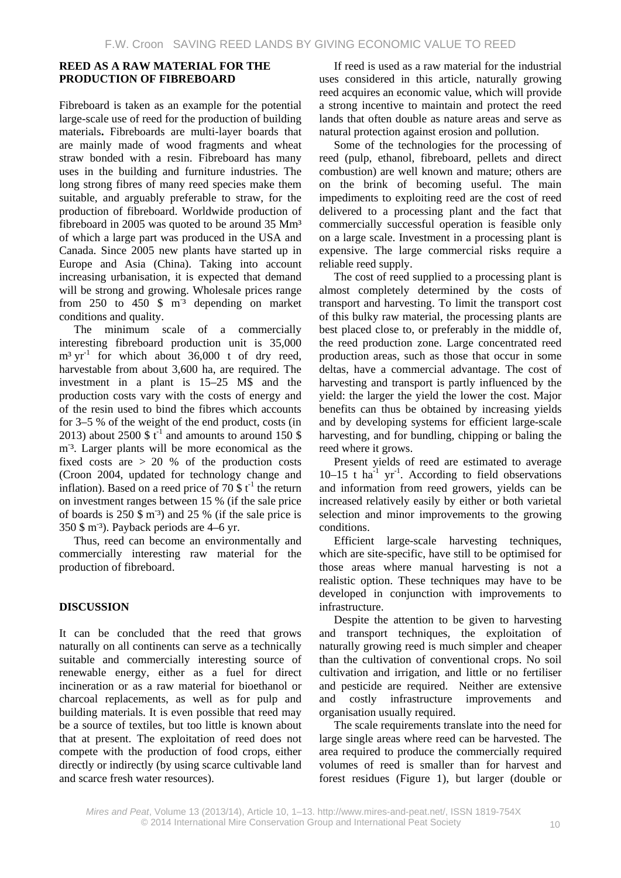## **REED AS A RAW MATERIAL FOR THE PRODUCTION OF FIBREBOARD**

Fibreboard is taken as an example for the potential large-scale use of reed for the production of building materials**.** Fibreboards are multi-layer boards that are mainly made of wood fragments and wheat straw bonded with a resin. Fibreboard has many uses in the building and furniture industries. The long strong fibres of many reed species make them suitable, and arguably preferable to straw, for the production of fibreboard. Worldwide production of fibreboard in 2005 was quoted to be around 35 Mm<sup>3</sup> of which a large part was produced in the USA and Canada. Since 2005 new plants have started up in Europe and Asia (China). Taking into account increasing urbanisation, it is expected that demand will be strong and growing. Wholesale prices range from  $250$  to  $450$  \$  $m<sup>3</sup>$  depending on market conditions and quality.

The minimum scale of a commercially interesting fibreboard production unit is 35,000  $m<sup>3</sup> yr<sup>-1</sup>$  for which about 36,000 t of dry reed, harvestable from about 3,600 ha, are required. The investment in a plant is 15–25 M\$ and the production costs vary with the costs of energy and of the resin used to bind the fibres which accounts for 3–5 % of the weight of the end product, costs (in 2013) about 2500 \$  $t^{-1}$  and amounts to around 150 \$ m<sup>-3</sup>. Larger plants will be more economical as the fixed costs are  $> 20$  % of the production costs (Croon 2004, updated for technology change and inflation). Based on a reed price of 70 \$  $t^{-1}$  the return on investment ranges between 15 % (if the sale price of boards is  $250 \text{ }\frac{\text{m}}{\text{s}}$  and  $25 \text{ } \%$  (if the sale price is 350 \$ m- ³). Payback periods are 4–6 yr.

Thus, reed can become an environmentally and commercially interesting raw material for the production of fibreboard.

## **DISCUSSION**

It can be concluded that the reed that grows naturally on all continents can serve as a technically suitable and commercially interesting source of renewable energy, either as a fuel for direct incineration or as a raw material for bioethanol or charcoal replacements, as well as for pulp and building materials. It is even possible that reed may be a source of textiles, but too little is known about that at present. The exploitation of reed does not compete with the production of food crops, either directly or indirectly (by using scarce cultivable land and scarce fresh water resources).

If reed is used as a raw material for the industrial uses considered in this article, naturally growing reed acquires an economic value, which will provide a strong incentive to maintain and protect the reed lands that often double as nature areas and serve as natural protection against erosion and pollution.

Some of the technologies for the processing of reed (pulp, ethanol, fibreboard, pellets and direct combustion) are well known and mature; others are on the brink of becoming useful. The main impediments to exploiting reed are the cost of reed delivered to a processing plant and the fact that commercially successful operation is feasible only on a large scale. Investment in a processing plant is expensive. The large commercial risks require a reliable reed supply.

The cost of reed supplied to a processing plant is almost completely determined by the costs of transport and harvesting. To limit the transport cost of this bulky raw material, the processing plants are best placed close to, or preferably in the middle of, the reed production zone. Large concentrated reed production areas, such as those that occur in some deltas, have a commercial advantage. The cost of harvesting and transport is partly influenced by the yield: the larger the yield the lower the cost. Major benefits can thus be obtained by increasing yields and by developing systems for efficient large-scale harvesting, and for bundling, chipping or baling the reed where it grows.

Present yields of reed are estimated to average  $10-15$  t ha<sup>-1</sup> yr<sup>-1</sup>. According to field observations and information from reed growers, yields can be increased relatively easily by either or both varietal selection and minor improvements to the growing conditions.

Efficient large-scale harvesting techniques, which are site-specific, have still to be optimised for those areas where manual harvesting is not a realistic option. These techniques may have to be developed in conjunction with improvements to infrastructure.

Despite the attention to be given to harvesting and transport techniques, the exploitation of naturally growing reed is much simpler and cheaper than the cultivation of conventional crops. No soil cultivation and irrigation, and little or no fertiliser and pesticide are required. Neither are extensive and costly infrastructure improvements and organisation usually required.

The scale requirements translate into the need for large single areas where reed can be harvested. The area required to produce the commercially required volumes of reed is smaller than for harvest and forest residues (Figure 1), but larger (double or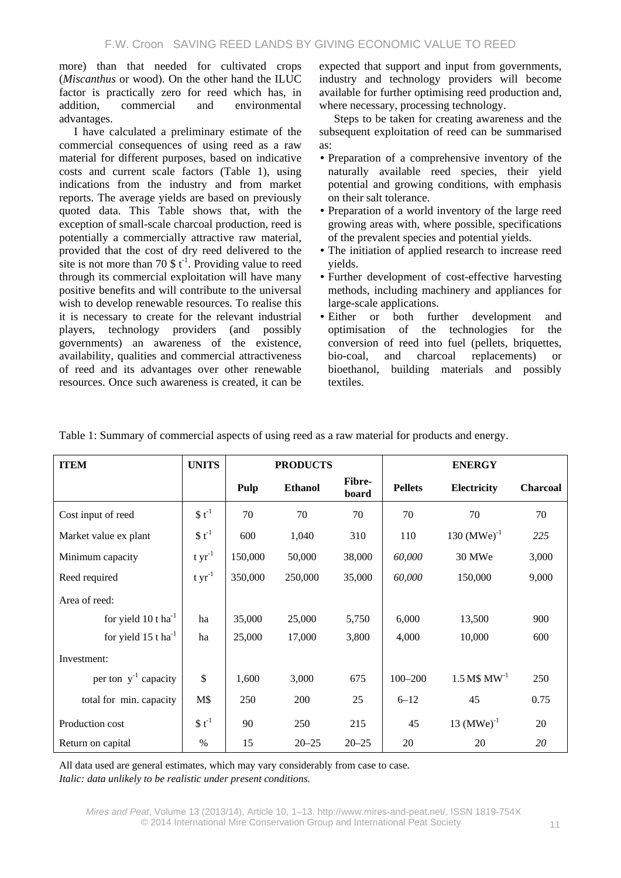more) than that needed for cultivated crops (*Miscanthus* or wood). On the other hand the ILUC factor is practically zero for reed which has, in addition, commercial and environmental advantages.

I have calculated a preliminary estimate of the commercial consequences of using reed as a raw material for different purposes, based on indicative costs and current scale factors (Table 1), using indications from the industry and from market reports. The average yields are based on previously quoted data. This Table shows that, with the exception of small-scale charcoal production, reed is potentially a commercially attractive raw material, provided that the cost of dry reed delivered to the site is not more than 70  $\frac{1}{2}$  t<sup>-1</sup>. Providing value to reed through its commercial exploitation will have many positive benefits and will contribute to the universal wish to develop renewable resources. To realise this it is necessary to create for the relevant industrial players, technology providers (and possibly governments) an awareness of the existence, availability, qualities and commercial attractiveness of reed and its advantages over other renewable resources. Once such awareness is created, it can be expected that support and input from governments, industry and technology providers will become available for further optimising reed production and, where necessary, processing technology.

Steps to be taken for creating awareness and the subsequent exploitation of reed can be summarised as:

- Preparation of a comprehensive inventory of the naturally available reed species, their yield potential and growing conditions, with emphasis on their salt tolerance.
- Preparation of a world inventory of the large reed growing areas with, where possible, specifications of the prevalent species and potential yields.
- The initiation of applied research to increase reed yields.
- Further development of cost-effective harvesting methods, including machinery and appliances for large-scale applications.
- Either or both further development and optimisation of the technologies for the conversion of reed into fuel (pellets, briquettes, bio-coal, and charcoal replacements) or bioethanol, building materials and possibly textiles.

| <b>ITEM</b>                       | <b>UNITS</b> |         | <b>PRODUCTS</b> |                 |                | <b>ENERGY</b>             |                 |
|-----------------------------------|--------------|---------|-----------------|-----------------|----------------|---------------------------|-----------------|
|                                   |              | Pulp    | <b>Ethanol</b>  | Fibre-<br>board | <b>Pellets</b> | Electricity               | <b>Charcoal</b> |
| Cost input of reed                | $$t^{-1}$$   | 70      | 70              | 70              | 70             | 70                        | 70              |
| Market value ex plant             | $$t^{-1}$    | 600     | 1,040           | 310             | 110            | $130 \, (MWe)^{-1}$       | 225             |
| Minimum capacity                  | t yr $^{-1}$ | 150,000 | 50,000          | 38,000          | 60,000         | 30 MWe                    | 3,000           |
| Reed required                     | $t yr^{-1}$  | 350,000 | 250,000         | 35,000          | 60,000         | 150,000                   | 9,000           |
| Area of reed:                     |              |         |                 |                 |                |                           |                 |
| for yield 10 t ha <sup>-1</sup>   | ha           | 35,000  | 25,000          | 5,750           | 6,000          | 13,500                    | 900             |
| for yield $15$ t ha <sup>-1</sup> | ha           | 25,000  | 17,000          | 3,800           | 4,000          | 10,000                    | 600             |
| Investment:                       |              |         |                 |                 |                |                           |                 |
| per ton $y^{-1}$ capacity         | $\mathbb{S}$ | 1,600   | 3,000           | 675             | $100 - 200$    | $1.5 M$$ MW <sup>-1</sup> | 250             |
| total for min. capacity           | M\$          | 250     | 200             | 25              | $6 - 12$       | 45                        | 0.75            |
| Production cost                   | $$t^{-1}$    | 90      | 250             | 215             | 45             | 13 $(MWe)^{-1}$           | 20              |
| Return on capital                 | $\%$         | 15      | $20 - 25$       | $20 - 25$       | 20             | 20                        | 20              |

Table 1: Summary of commercial aspects of using reed as a raw material for products and energy.

All data used are general estimates, which may vary considerably from case to case. *Italic: data unlikely to be realistic under present conditions.*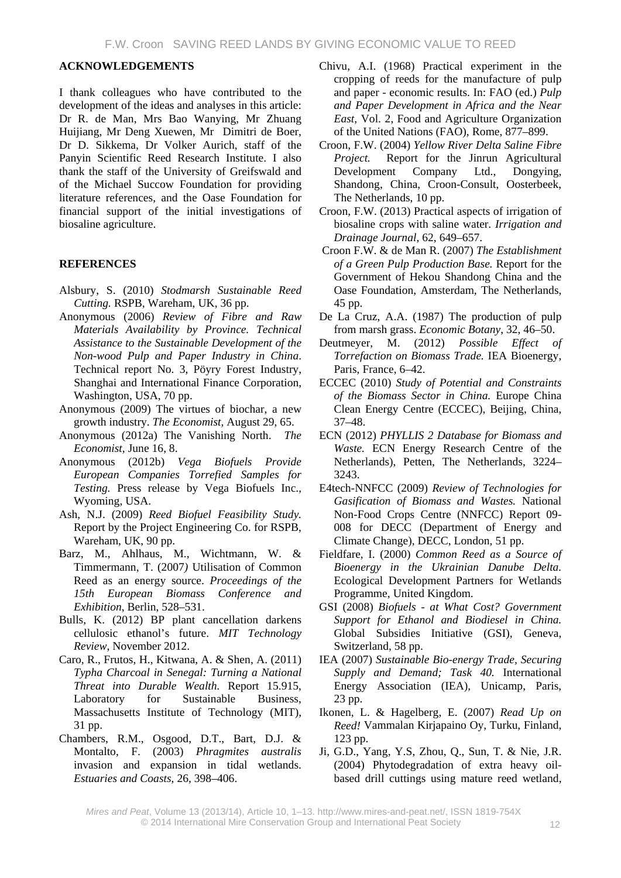### **ACKNOWLEDGEMENTS**

I thank colleagues who have contributed to the development of the ideas and analyses in this article: Dr R. de Man, Mrs Bao Wanying, Mr Zhuang Huijiang, Mr Deng Xuewen, Mr Dimitri de Boer, Dr D. Sikkema, Dr Volker Aurich, staff of the Panyin Scientific Reed Research Institute. I also thank the staff of the University of Greifswald and of the Michael Succow Foundation for providing literature references, and the Oase Foundation for financial support of the initial investigations of biosaline agriculture.

#### **REFERENCES**

- Alsbury, S. (2010) *Stodmarsh Sustainable Reed Cutting.* RSPB, Wareham, UK, 36 pp.
- Anonymous (2006) *Review of Fibre and Raw Materials Availability by Province. Technical Assistance to the Sustainable Development of the Non-wood Pulp and Paper Industry in China*. Technical report No. 3, Pöyry Forest Industry, Shanghai and International Finance Corporation, Washington, USA, 70 pp.
- Anonymous (2009) The virtues of biochar, a new growth industry. *The Economist,* August 29, 65.
- Anonymous (2012a) The Vanishing North. *The Economist,* June 16, 8.
- Anonymous (2012b) *Vega Biofuels Provide European Companies Torrefied Samples for Testing.* Press release by Vega Biofuels Inc., Wyoming, USA.
- Ash, N.J. (2009) *Reed Biofuel Feasibility Study.* Report by the Project Engineering Co. for RSPB, Wareham, UK, 90 pp.
- Barz, M., Ahlhaus, M., Wichtmann, W. & Timmermann, T. (2007*)* Utilisation of Common Reed as an energy source. *Proceedings of the 15th European Biomass Conference and Exhibition*, Berlin, 528–531.
- Bulls, K. (2012) BP plant cancellation darkens cellulosic ethanol's future. *MIT Technology Review*, November 2012.
- Caro, R., Frutos, H., Kitwana, A. & Shen, A. (2011) *Typha Charcoal in Senegal: Turning a National Threat into Durable Wealth.* Report 15.915, Laboratory for Sustainable Business, Massachusetts Institute of Technology (MIT), 31 pp.
- Chambers, R.M., Osgood, D.T., Bart, D.J. & Montalto, F. (2003) *Phragmites australis* invasion and expansion in tidal wetlands. *Estuaries and Coasts*, 26, 398–406.
- Chivu, A.I. (1968) Practical experiment in the cropping of reeds for the manufacture of pulp and paper - economic results. In: FAO (ed.) *Pulp and Paper Development in Africa and the Near East*, Vol. 2, Food and Agriculture Organization of the United Nations (FAO), Rome, 877–899.
- Croon, F.W. (2004) *Yellow River Delta Saline Fibre Project.* Report for the Jinrun Agricultural Development Company Ltd., Dongying, Shandong, China, Croon-Consult, Oosterbeek, The Netherlands, 10 pp.
- Croon, F.W. (2013) Practical aspects of irrigation of biosaline crops with saline water. *Irrigation and Drainage Journal*, 62, 649–657.
- Croon F.W. & de Man R. (2007) *The Establishment of a Green Pulp Production Base.* Report for the Government of Hekou Shandong China and the Oase Foundation, Amsterdam, The Netherlands, 45 pp.
- De La Cruz, A.A. (1987) The production of pulp from marsh grass. *Economic Botany*, 32, 46–50.
- Deutmeyer, M. (2012) *Possible Effect of Torrefaction on Biomass Trade.* IEA Bioenergy, Paris, France, 6–42.
- ECCEC (2010) *Study of Potential and Constraints of the Biomass Sector in China.* Europe China Clean Energy Centre (ECCEC), Beijing, China, 37–48.
- ECN (2012) *PHYLLIS 2 Database for Biomass and Waste.* ECN Energy Research Centre of the Netherlands), Petten, The Netherlands, 3224– 3243.
- E4tech-NNFCC (2009) *Review of Technologies for Gasification of Biomass and Wastes.* National Non-Food Crops Centre (NNFCC) Report 09- 008 for DECC (Department of Energy and Climate Change), DECC, London, 51 pp.
- Fieldfare, I. (2000) *Common Reed as a Source of Bioenergy in the Ukrainian Danube Delta.* Ecological Development Partners for Wetlands Programme, United Kingdom.
- GSI (2008) *Biofuels - at What Cost? Government Support for Ethanol and Biodiesel in China.* Global Subsidies Initiative (GSI), Geneva, Switzerland, 58 pp.
- IEA (2007) *Sustainable Bio-energy Trade, Securing Supply and Demand; Task 40.* International Energy Association (IEA), Unicamp, Paris, 23 pp.
- Ikonen, L. & Hagelberg, E. (2007) *Read Up on Reed!* Vammalan Kirjapaino Oy, Turku, Finland, 123 pp.
- Ji, G.D., Yang, Y.S, Zhou, Q., Sun, T. & Nie, J.R. (2004) Phytodegradation of extra heavy oilbased drill cuttings using mature reed wetland,